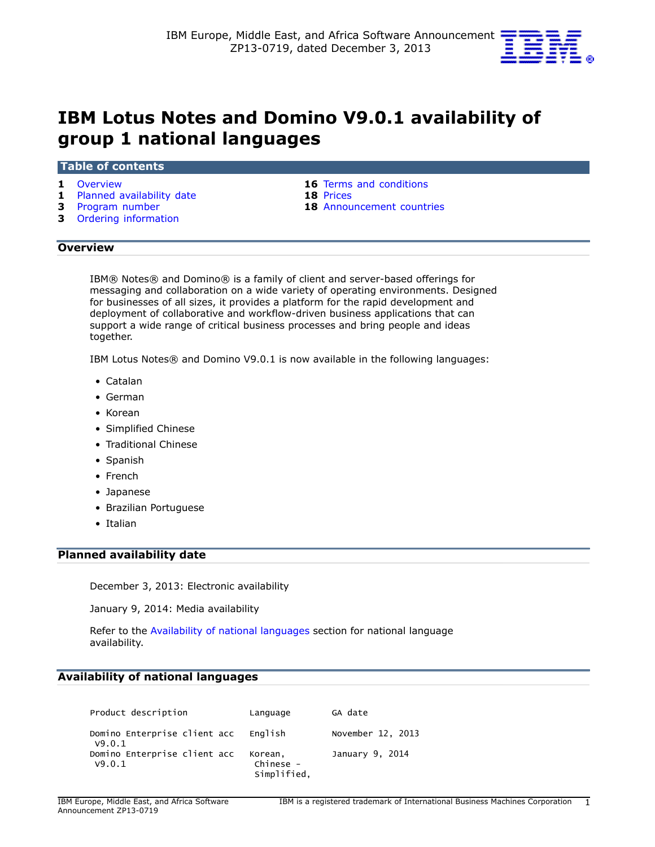

# **IBM Lotus Notes and Domino V9.0.1 availability of group 1 national languages**

## **Table of contents**

- 
- **1** [Planned availability date](#page-0-1) **18** [Prices](#page-17-0)
- 
- **3** [Ordering information](#page-2-1)
- **1** [Overview](#page-0-0) **16** [Terms and conditions](#page-15-0) 
	-
- **3** [Program number](#page-2-0) **18** [Announcement countries](#page-17-1)

## <span id="page-0-0"></span>**Overview**

IBM® Notes® and Domino® is a family of client and server-based offerings for messaging and collaboration on a wide variety of operating environments. Designed for businesses of all sizes, it provides a platform for the rapid development and deployment of collaborative and workflow-driven business applications that can support a wide range of critical business processes and bring people and ideas together.

IBM Lotus Notes® and Domino V9.0.1 is now available in the following languages:

- Catalan
- German
- Korean
- Simplified Chinese
- Traditional Chinese
- Spanish
- French
- Japanese
- Brazilian Portuguese
- Italian

## <span id="page-0-1"></span>**Planned availability date**

December 3, 2013: Electronic availability

January 9, 2014: Media availability

Refer to the [Availability of national languages](#page-0-2) section for national language availability.

## <span id="page-0-2"></span>**Availability of national languages**

| Product description                    | Language                            | GA date           |
|----------------------------------------|-------------------------------------|-------------------|
| Domino Enterprise client acc<br>V9.0.1 | Enalish                             | November 12, 2013 |
| Domino Enterprise client acc<br>V9.0.1 | Korean,<br>Chinese -<br>Simplified, | January 9, 2014   |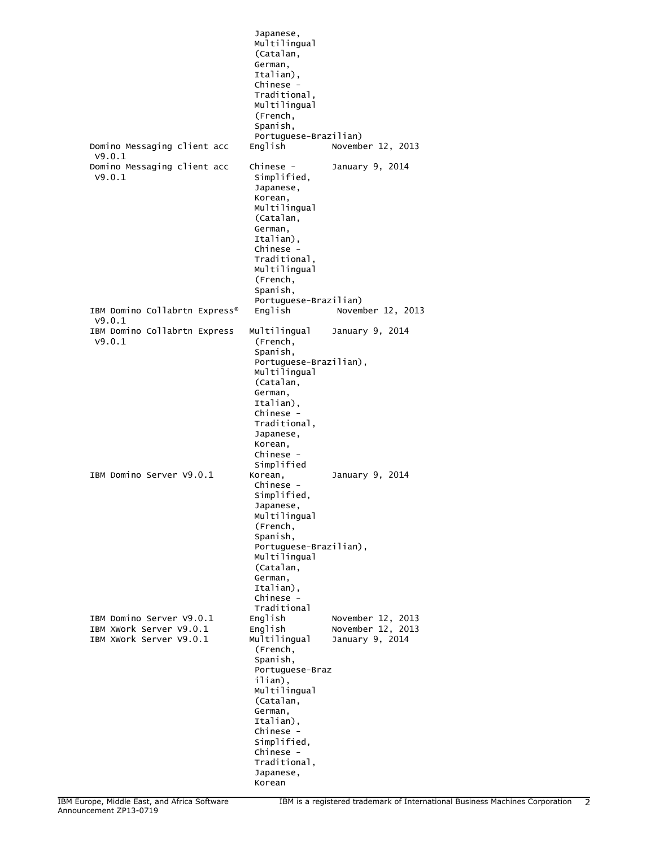Japanese, Multilingual (Catalan, German, Italian), Chinese - Traditional, Multilingual (French, Spanish, Portuguese-Brazilian) Domino Messaging client acc English V9.0.1 Domino Messaging client acc Chinese - January 9, 2014 V9.0.1 Simplified, Japanese, Korean, Multilingual (Catalan, German, Italian), Chinese - Traditional, Multilingual (French, Spanish, Portuguese-Brazilian)<br>English November 12, 2013 IBM Domino Collabrtn Express® V9.0.1 IBM Domino Collabrtn Express Multilingual January 9, 2014 V9.0.1 (French, Spanish, Portuguese-Brazilian), Multilingual (Catalan, German, Italian), Chinese - Traditional, Japanese, Korean, Chinese - Simplified<br>Korean, IBM Domino Server V9.0.1 Korean, January 9, 2014 Chinese - Simplified, Japanese, Multilingual (French, Spanish, Portuguese-Brazilian), Multilingual (Catalan, German, Italian), Chinese - Traditional IBM Domino Server V9.0.1 English November 12, 2013<br>IBM XWork Server V9.0.1 English November 12, 2013 IBM XWork Server V9.0.1 English November 12, 2014<br>IBM XWork Server V9.0.1 Multilingual January 9, 2014 IBM XWork Server V9.0.1 Multilingual (French, Spanish, Portuguese-Braz ilian), Multilingual (Catalan, German, Italian), Chinese - Simplified, Chinese - Traditional, Japanese, Korean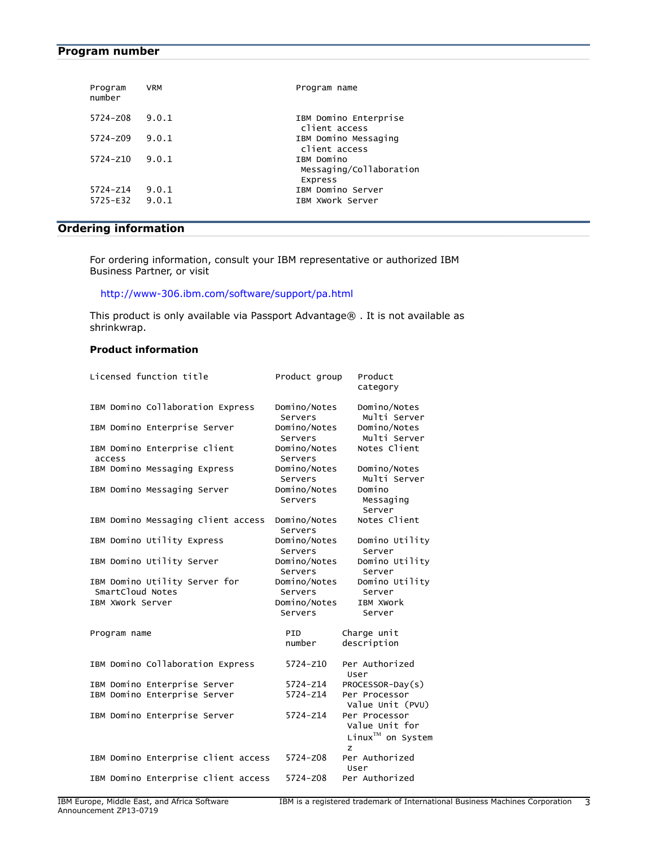## <span id="page-2-0"></span>**Program number**

| Program<br>number | <b>VRM</b> | Program name                                     |
|-------------------|------------|--------------------------------------------------|
| $5724 - 208$      | 9.0.1      | IBM Domino Enterprise<br>client access           |
| $5724 - 209$      | 9.0.1      | IBM Domino Messaging<br>client access            |
| 5724-710          | 9.0.1      | IBM Domino<br>Messaging/Collaboration<br>Express |
| $5724 - 214$      | 9.0.1      | IBM Domino Server                                |
| $5725 - E32$      | 9.0.1      | IBM XWork Server                                 |

# <span id="page-2-1"></span>**Ordering information**

For ordering information, consult your IBM representative or authorized IBM Business Partner, or visit

## <http://www-306.ibm.com/software/support/pa.html>

This product is only available via Passport Advantage® . It is not available as shrinkwrap.

## **Product information**

| Licensed function title                           | Product group           | Product<br>category                                            |
|---------------------------------------------------|-------------------------|----------------------------------------------------------------|
| IBM Domino Collaboration Express                  | Domino/Notes<br>Servers | Domino/Notes<br>Multi Server                                   |
| IBM Domino Enterprise Server                      | Domino/Notes<br>Servers | Domino/Notes<br>Multi Server                                   |
| IBM Domino Enterprise client<br>access            | Domino/Notes<br>Servers | Notes Client                                                   |
| IBM Domino Messaging Express                      | Domino/Notes<br>Servers | Domino/Notes<br>Multi Server                                   |
| IBM Domino Messaging Server                       | Domino/Notes<br>Servers | Domino<br>Messaging<br>Server                                  |
| IBM Domino Messaging client access                | Domino/Notes<br>Servers | Notes Client                                                   |
| IBM Domino Utility Express                        | Domino/Notes<br>Servers | Domino Utility<br>Server                                       |
| IBM Domino Utility Server                         | Domino/Notes<br>Servers | Domino Utility<br>Server                                       |
| IBM Domino Utility Server for<br>SmartCloud Notes | Domino/Notes<br>Servers | Domino Utility<br>Server                                       |
|                                                   |                         |                                                                |
| IBM XWork Server                                  | Domino/Notes<br>Servers | IBM XWork<br>Server                                            |
| Program name                                      | PID<br>number           | Charge unit<br>description                                     |
| IBM Domino Collaboration Express                  | 5724-z10                | Per Authorized<br>User                                         |
| IBM Domino Enterprise Server                      | 5724-Z14                | PROCESSOR-Day(s)                                               |
| IBM Domino Enterprise Server                      | $5724 - 214$            | Per Processor<br>Value Unit (PVU)                              |
| IBM Domino Enterprise Server                      | $5724 - 214$            | Per Processor<br>Value Unit for<br>$Linux^{TM}$ on System<br>z |
| IBM Domino Enterprise client access               | 5724-z08                | Per Authorized<br>User                                         |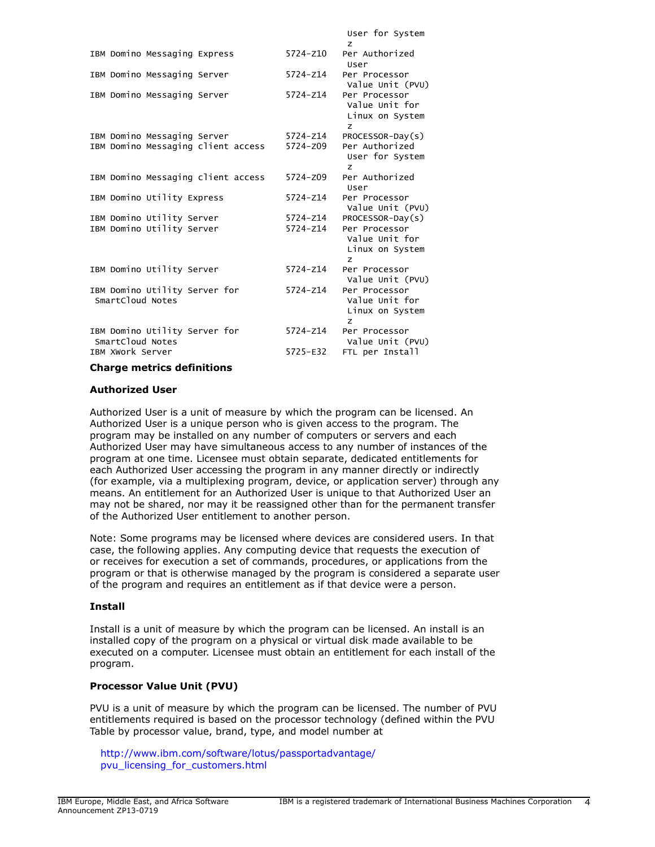|                                                   |              | User for System<br>Z                                    |
|---------------------------------------------------|--------------|---------------------------------------------------------|
| IBM Domino Messaging Express                      | 5724-z10     | Per Authorized<br>User                                  |
| IBM Domino Messaging Server                       | 5724-z14     | Per Processor<br>Value Unit (PVU)                       |
| IBM Domino Messaging Server                       | 5724-Z14     | Per Processor<br>Value Unit for<br>Linux on System<br>Z |
| IBM Domino Messaging Server                       | 5724-z14     | $PROCESOR-Day(s)$                                       |
| IBM Domino Messaging client access                | 5724-z09     | Per Authorized<br>User for System<br>$\overline{z}$     |
| IBM Domino Messaging client access                | 5724-z09     | Per Authorized<br>User                                  |
| IBM Domino Utility Express                        | 5724-z14     | Per Processor<br>Value Unit (PVU)                       |
| IBM Domino Utility Server                         | 5724-z14     | PROCESSOR-Day(s)                                        |
| IBM Domino Utility Server                         | $5724 - 214$ | Per Processor<br>Value Unit for<br>Linux on System<br>Z |
| IBM Domino Utility Server                         | 5724-z14     | Per Processor<br>Value Unit (PVU)                       |
| IBM Domino Utility Server for<br>SmartCloud Notes | 5724-Z14     | Per Processor<br>Value Unit for<br>Linux on System<br>z |
| IBM Domino Utility Server for<br>SmartCloud Notes | 5724-z14     | Per Processor<br>Value Unit (PVU)                       |
| IBM XWork Server                                  | 5725-E32     | FTL per Install                                         |
|                                                   |              |                                                         |

## **Charge metrics definitions**

#### **Authorized User**

Authorized User is a unit of measure by which the program can be licensed. An Authorized User is a unique person who is given access to the program. The program may be installed on any number of computers or servers and each Authorized User may have simultaneous access to any number of instances of the program at one time. Licensee must obtain separate, dedicated entitlements for each Authorized User accessing the program in any manner directly or indirectly (for example, via a multiplexing program, device, or application server) through any means. An entitlement for an Authorized User is unique to that Authorized User an may not be shared, nor may it be reassigned other than for the permanent transfer of the Authorized User entitlement to another person.

Note: Some programs may be licensed where devices are considered users. In that case, the following applies. Any computing device that requests the execution of or receives for execution a set of commands, procedures, or applications from the program or that is otherwise managed by the program is considered a separate user of the program and requires an entitlement as if that device were a person.

#### **Install**

Install is a unit of measure by which the program can be licensed. An install is an installed copy of the program on a physical or virtual disk made available to be executed on a computer. Licensee must obtain an entitlement for each install of the program.

#### **Processor Value Unit (PVU)**

PVU is a unit of measure by which the program can be licensed. The number of PVU entitlements required is based on the processor technology (defined within the PVU Table by processor value, brand, type, and model number at

[http://www.ibm.com/software/lotus/passportadvantage/](http://www.ibm.com/software/lotus/passportadvantage/pvu_licensing_for_customers.html) [pvu\\_licensing\\_for\\_customers.html](http://www.ibm.com/software/lotus/passportadvantage/pvu_licensing_for_customers.html)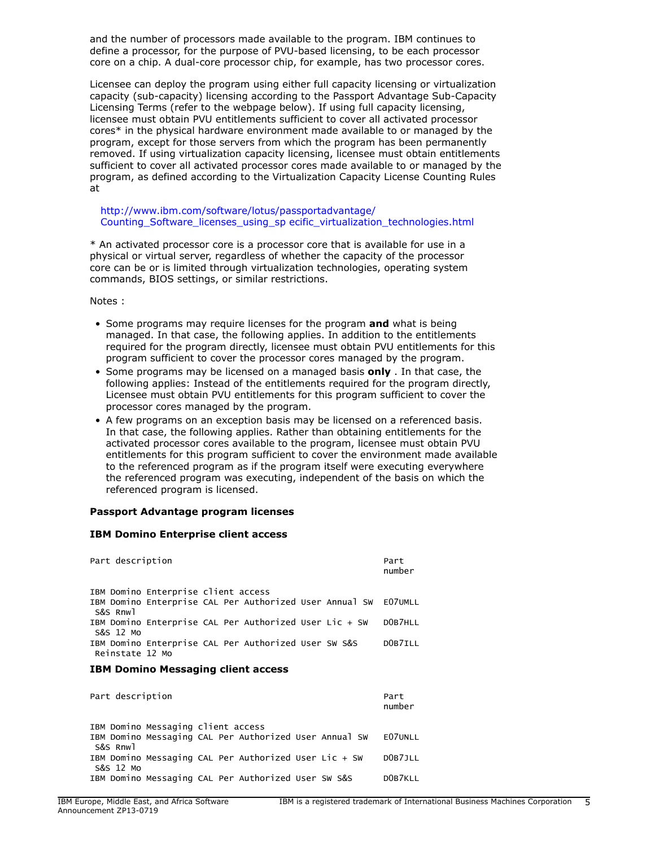and the number of processors made available to the program. IBM continues to define a processor, for the purpose of PVU-based licensing, to be each processor core on a chip. A dual-core processor chip, for example, has two processor cores.

Licensee can deploy the program using either full capacity licensing or virtualization capacity (sub-capacity) licensing according to the Passport Advantage Sub-Capacity Licensing Terms (refer to the webpage below). If using full capacity licensing, licensee must obtain PVU entitlements sufficient to cover all activated processor cores\* in the physical hardware environment made available to or managed by the program, except for those servers from which the program has been permanently removed. If using virtualization capacity licensing, licensee must obtain entitlements sufficient to cover all activated processor cores made available to or managed by the program, as defined according to the Virtualization Capacity License Counting Rules at

[http://www.ibm.com/software/lotus/passportadvantage/](http://www.ibm.com/software/lotus/passportadvantage/Counting_Software_licenses_using_specific_virtualization_technologies.html) [Counting\\_Software\\_licenses\\_using\\_sp ecific\\_virtualization\\_technologies.html](http://www.ibm.com/software/lotus/passportadvantage/Counting_Software_licenses_using_specific_virtualization_technologies.html)

\* An activated processor core is a processor core that is available for use in a physical or virtual server, regardless of whether the capacity of the processor core can be or is limited through virtualization technologies, operating system commands, BIOS settings, or similar restrictions.

Notes :

- Some programs may require licenses for the program **and** what is being managed. In that case, the following applies. In addition to the entitlements required for the program directly, licensee must obtain PVU entitlements for this program sufficient to cover the processor cores managed by the program.
- Some programs may be licensed on a managed basis **only** . In that case, the following applies: Instead of the entitlements required for the program directly, Licensee must obtain PVU entitlements for this program sufficient to cover the processor cores managed by the program.
- A few programs on an exception basis may be licensed on a referenced basis. In that case, the following applies. Rather than obtaining entitlements for the activated processor cores available to the program, licensee must obtain PVU entitlements for this program sufficient to cover the environment made available to the referenced program as if the program itself were executing everywhere the referenced program was executing, independent of the basis on which the referenced program is licensed.

#### **Passport Advantage program licenses**

#### **IBM Domino Enterprise client access**

| Part description                                                        | Part<br>number |
|-------------------------------------------------------------------------|----------------|
| IBM Domino Enterprise client access                                     |                |
| IBM Domino Enterprise CAL Per Authorized User Annual SW<br>S&S Rnwl     | E07UMLL        |
| IBM Domino Enterprise CAL Per Authorized User Lic + SW<br>S&S 12 Mo     | DOB7HLL        |
| IBM Domino Enterprise CAL Per Authorized User SW S&S<br>Reinstate 12 Mo | DOB7ILL        |
| <b>IBM Domino Messaging client access</b>                               |                |
| Part description                                                        | Part<br>number |
| IBM Domino Messaging client access                                      |                |
| IBM Domino Messaging CAL Per Authorized User Annual SW<br>S&S Rnwl      | E07UNLL        |
| IBM Domino Messaging CAL Per Authorized User Lic + SW                   | DOB7JLL        |

IBM Domino Messaging CAL Per Authorized User SW S&S D0B7KLL

S&S 12 Mo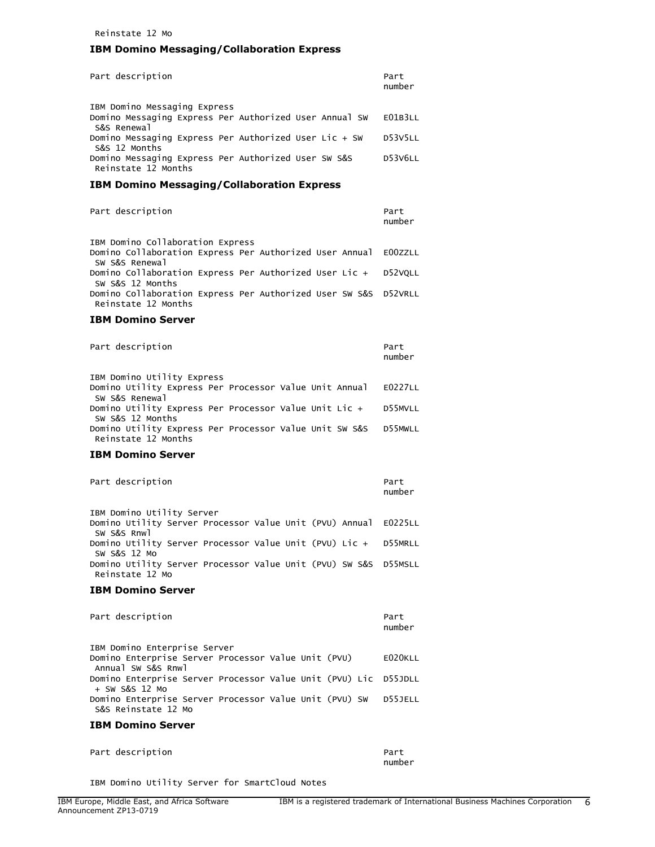Reinstate 12 Mo

## **IBM Domino Messaging/Collaboration Express**

| Part description                                                                                                                                              | Part<br>number     |
|---------------------------------------------------------------------------------------------------------------------------------------------------------------|--------------------|
| IBM Domino Messaging Express<br>Domino Messaging Express Per Authorized User Annual SW<br>S&S Renewal                                                         | E01B3LL            |
| Domino Messaging Express Per Authorized User Lic + SW<br>S&S 12 Months                                                                                        | <b>D53V5LL</b>     |
| Domino Messaging Express Per Authorized User SW S&S<br>Reinstate 12 Months                                                                                    | <b>D53V6LL</b>     |
| <b>IBM Domino Messaging/Collaboration Express</b>                                                                                                             |                    |
| Part description                                                                                                                                              | Part<br>number     |
| IBM Domino Collaboration Express<br>Domino Collaboration Express Per Authorized User Annual                                                                   | E00ZZLL            |
| SW S&S Renewal<br>Domino Collaboration Express Per Authorized User Lic +                                                                                      |                    |
| SW S&S 12 Months                                                                                                                                              | D52VQLL            |
| Domino Collaboration Express Per Authorized User SW S&S<br>Reinstate 12 Months                                                                                | D52VRLL            |
| <b>IBM Domino Server</b>                                                                                                                                      |                    |
| Part description                                                                                                                                              | Part<br>number     |
| IBM Domino Utility Express<br>Domino Utility Express Per Processor Value Unit Annual<br>SW S&S Renewal                                                        | <b>E0227LL</b>     |
| Domino Utility Express Per Processor Value Unit Lic +<br>SW S&S 12 Months                                                                                     | D55MVLL            |
| Domino Utility Express Per Processor Value Unit SW S&S<br>Reinstate 12 Months                                                                                 | D55MWLL            |
| <b>IBM Domino Server</b>                                                                                                                                      |                    |
| Part description                                                                                                                                              | Part<br>number     |
| IBM Domino Utility Server<br>Domino Utility Server Processor Value Unit (PVU) Annual<br>SW S&S Rnwl<br>Domino Utility Server Processor Value Unit (PVU) Lic + | E0225LL<br>D55MRLL |
| SW S&S 12 Mo<br>Domino Utility Server Processor Value Unit (PVU) SW S&S D55MSLL<br>Reinstate 12 Mo                                                            |                    |
| <b>IBM Domino Server</b>                                                                                                                                      |                    |
| Part description                                                                                                                                              | Part<br>number     |
| IBM Domino Enterprise Server<br>Domino Enterprise Server Processor Value Unit (PVU)<br>Annual SW S&S Rnwl                                                     | E020KLL            |
| Domino Enterprise Server Processor Value Unit (PVU) Lic D55JDLL<br>+ SW S&S 12 Mo                                                                             |                    |
| Domino Enterprise Server Processor Value Unit (PVU) SW D55JELL<br>S&S Reinstate 12 Mo                                                                         |                    |
| <b>IBM Domino Server</b>                                                                                                                                      |                    |
| Part description                                                                                                                                              | Part<br>number     |

IBM Domino Utility Server for SmartCloud Notes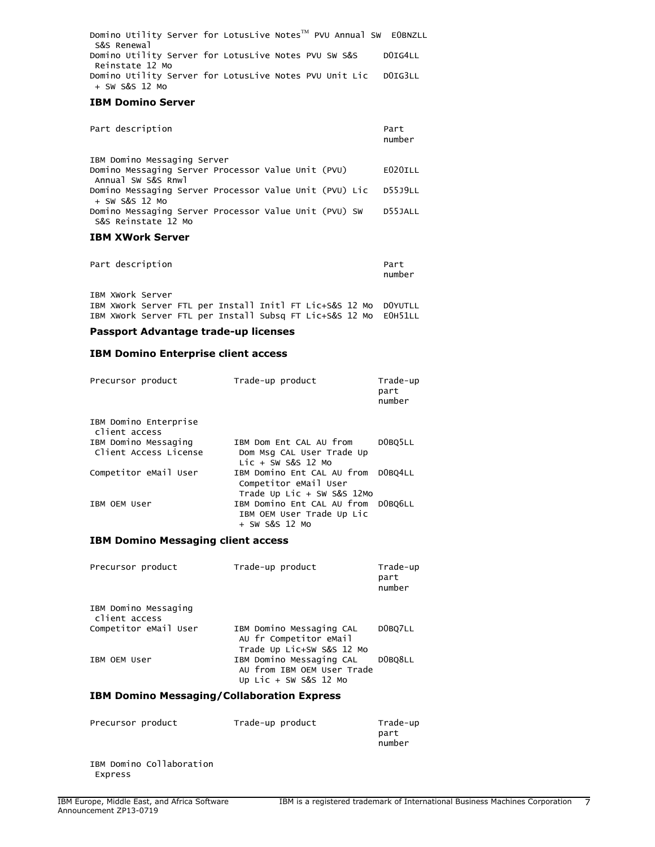Domino Utility Server for LotusLive Notes $^{TM}$  PVU Annual SW EOBNZLL S&S Renewal Domino Utility Server for LotusLive Notes PVU SW S&S D0IG4LL Reinstate 12 Mo Domino Utility Server for LotusLive Notes PVU Unit Lic D0IG3LL + SW S&S 12 Mo

## **IBM Domino Server**

| Part description                                                             | Part<br>number |
|------------------------------------------------------------------------------|----------------|
| IBM Domino Messaging Server                                                  |                |
| Domino Messaging Server Processor Value Unit (PVU)<br>Annual SW S&S Rnwl     | E020ILL        |
| Domino Messaging Server Processor Value Unit (PVU) Lic<br>+ SW S&S 12 Mo     | <b>D55J9LL</b> |
| Domino Messaging Server Processor Value Unit (PVU) SW<br>S&S Reinstate 12 Mo | D55JALL        |

#### **IBM XWork Server**

Part description entitled and the part of the Part part of the Part of the Part of the Part of the Part of the<br>Part of the Part of the Part of the Part of the Part of the Part of the Part of the Part of the Part of the Pa number in the control of the control of the control of the control of the control of the control of the control of the control of the control of the control of the control of the control of the control of the control of th

IBM XWork Server IBM XWork Server FTL per Install Initl FT Lic+S&S 12 Mo D0YUTLL IBM XWork Server FTL per Install Subsq FT Lic+S&S 12 Mo E0H51LL

#### **Passport Advantage trade-up licenses**

#### **IBM Domino Enterprise client access**

| Precursor product                             | Trade-up product                                                                  | Trade-up<br>part<br>number |
|-----------------------------------------------|-----------------------------------------------------------------------------------|----------------------------|
| IBM Domino Enterprise<br>client access        |                                                                                   |                            |
| IBM Domino Messaging<br>Client Access License | IBM Dom Ent CAL AU from<br>Dom Msg CAL User Trade Up<br>$Lie + SW S&S 12 MO$      | DOBO5LL                    |
| Competitor eMail User                         | IBM Domino Ent CAL AU from<br>Competitor eMail User<br>Trade Up Lic + SW S&S 12Mo | DOBO4LL                    |
| IBM OEM User                                  | IBM Domino Ent CAL AU from DOBQ6LL<br>IBM OEM User Trade Up Lic<br>+ SW S&S 12 Mo |                            |

#### **IBM Domino Messaging client access**

| Precursor product                     | Trade-up product                                                                  | Trade-up<br>part<br>number |
|---------------------------------------|-----------------------------------------------------------------------------------|----------------------------|
| IBM Domino Messaging<br>client access |                                                                                   |                            |
| Competitor eMail User                 | IBM Domino Messaging CAL<br>AU fr Competitor eMail<br>Trade Up Lic+SW S&S 12 Mo   | DOBQ7LL                    |
| IBM OEM USer                          | IBM Domino Messaging CAL<br>AU from IBM OEM User Trade<br>Up Lic + SW S&S $12$ Mo | DOBO8LL                    |

## **IBM Domino Messaging/Collaboration Express**

| Precursor product                                                         | Trade-up product | Trade-up<br>part<br>number |
|---------------------------------------------------------------------------|------------------|----------------------------|
| $\pi$ and $\pi$ - $\pi$ and $\pi$ and $\pi$ and $\pi$ and $\pi$ and $\pi$ |                  |                            |

IBM Domino Collaboration Express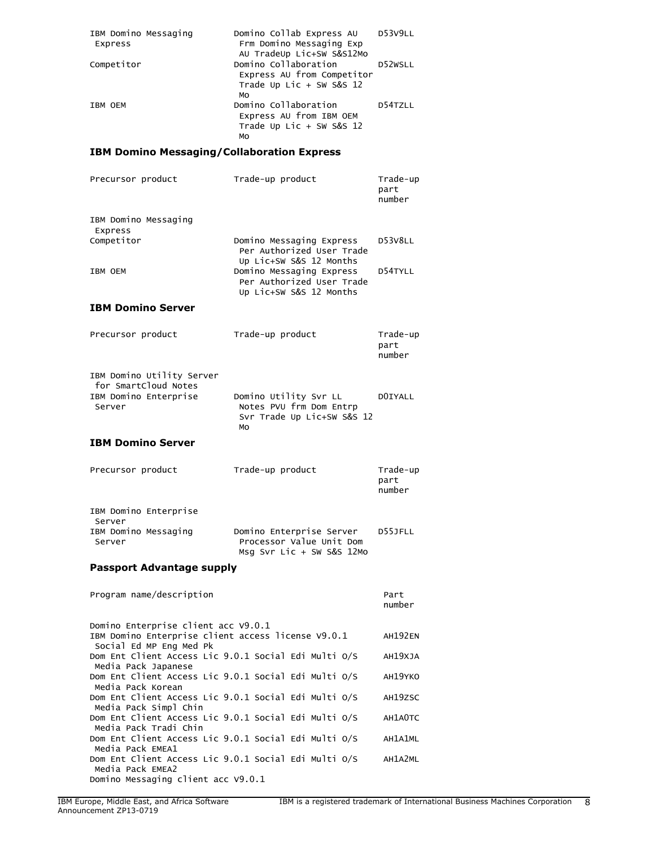| IBM Domino Messaging<br>Express                                                              | Domino Collab Express AU<br>Frm Domino Messaging Exp<br>AU TradeUp Lic+SW S&S12Mo      | <b>D53V9LL</b>             |
|----------------------------------------------------------------------------------------------|----------------------------------------------------------------------------------------|----------------------------|
| Competitor                                                                                   | Domino Collaboration<br>Express AU from Competitor<br>Trade Up Lic + SW S&S $12$<br>MO | D52WSLL                    |
| IBM OEM                                                                                      | Domino Collaboration<br>Express AU from IBM OEM<br>Trade Up Lic + SW S&S $12$<br>MO    | D54TZLL                    |
| <b>IBM Domino Messaging/Collaboration Express</b>                                            |                                                                                        |                            |
| Precursor product                                                                            | Trade-up product                                                                       | Trade-up<br>part<br>number |
| IBM Domino Messaging<br>Express                                                              |                                                                                        |                            |
| Competitor                                                                                   | Domino Messaging Express<br>Per Authorized User Trade<br>Up Lic+SW S&S 12 Months       | D53V8LL                    |
| IBM OEM                                                                                      | Domino Messaging Express<br>Per Authorized User Trade<br>Up Lic+SW S&S 12 Months       | D54TYLL                    |
| <b>IBM Domino Server</b>                                                                     |                                                                                        |                            |
| Precursor product                                                                            | Trade-up product                                                                       | Trade-up<br>part<br>number |
| IBM Domino Utility Server<br>for SmartCloud Notes<br>IBM Domino Enterprise<br>Server         | Domino Utility Svr LL<br>Notes PVU frm Dom Entrp<br>Svr Trade Up Lic+SW S&S 12<br>MO   | DOIYALL                    |
| <b>IBM Domino Server</b>                                                                     |                                                                                        |                            |
| Precursor product                                                                            | Trade-up product                                                                       | Trade-up<br>part<br>number |
| IBM Domino Enterprise<br>Server                                                              |                                                                                        |                            |
| IBM Domino Messaging<br>Server                                                               | Domino Enterprise Server<br>Processor Value Unit Dom<br>Msg Svr Lic + SW S&S 12Mo      | D55JFLL                    |
| <b>Passport Advantage supply</b>                                                             |                                                                                        |                            |
| Program name/description                                                                     |                                                                                        | Part<br>number             |
| Domino Enterprise client acc V9.0.1<br>IBM Domino Enterprise client access license V9.0.1    |                                                                                        | <b>AH192EN</b>             |
| Social Ed MP Eng Med Pk<br>Dom Ent Client Access Lic 9.0.1 Social Edi Multi 0/S              |                                                                                        | AH19XJA                    |
| Media Pack Japanese<br>Dom Ent Client Access Lic 9.0.1 Social Edi Multi 0/S                  |                                                                                        | AH19YKO                    |
| Media Pack Korean<br>Dom Ent Client Access Lic 9.0.1 Social Edi Multi 0/S                    |                                                                                        | AH19ZSC                    |
| Media Pack Simpl Chin<br>Dom Ent Client Access Lic 9.0.1 Social Edi Multi 0/S                |                                                                                        | AH1A0TC                    |
| Media Pack Tradi Chin<br>Dom Ent Client Access Lic 9.0.1 Social Edi Multi 0/S                |                                                                                        | AH1A1ML                    |
| Media Pack EMEA1<br>Dom Ent Client Access Lic 9.0.1 Social Edi Multi O/S<br>Media Pack EMEA2 |                                                                                        | AH1A2ML                    |
| Domino Messaging client acc V9.0.1                                                           |                                                                                        |                            |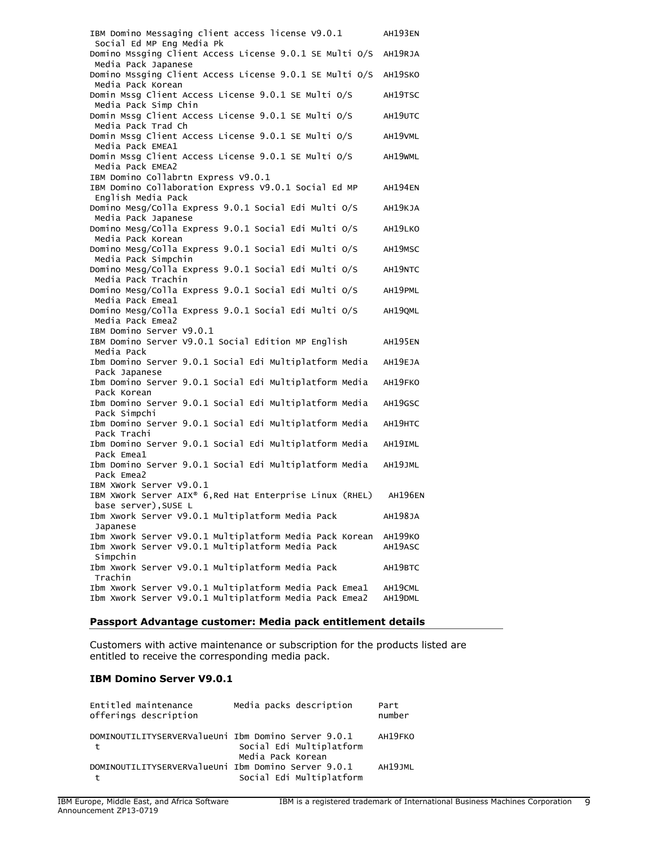| IBM Domino Messaging client access license V9.0.1                                                           | AH193EN            |
|-------------------------------------------------------------------------------------------------------------|--------------------|
| Social Ed MP Eng Media Pk<br>Domino Mssging Client Access License 9.0.1 SE Multi O/S                        | AH19RJA            |
| Media Pack Japanese                                                                                         |                    |
| Domino Mssging Client Access License 9.0.1 SE Multi 0/S<br>Media Pack Korean                                | AH19SKO            |
| Domin Mssg Client Access License 9.0.1 SE Multi 0/S                                                         | AH19TSC            |
| Media Pack Simp Chin<br>Domin Mssg Client Access License 9.0.1 SE Multi 0/S                                 | AH19UTC            |
| Media Pack Trad Ch<br>Domin Mssg Client Access License 9.0.1 SE Multi 0/S                                   | AH19VML            |
| Media Pack EMEA1                                                                                            |                    |
| Domin Mssg Client Access License 9.0.1 SE Multi 0/S<br>Media Pack EMEA2                                     | AH19WML            |
| IBM Domino Collabrtn Express V9.0.1                                                                         |                    |
| IBM Domino Collaboration Express V9.0.1 Social Ed MP                                                        | <b>AH194EN</b>     |
| English Media Pack                                                                                          |                    |
| Domino Mesg/Colla Express 9.0.1 Social Edi Multi 0/S                                                        | AH19KJA            |
| Media Pack Japanese<br>Domino Mesg/Colla Express 9.0.1 Social Edi Multi 0/S                                 | AH19LKO            |
| Media Pack Korean                                                                                           |                    |
| Domino Mesg/Colla Express 9.0.1 Social Edi Multi 0/S<br>Media Pack Simpchin                                 | AH19MSC            |
| Domino Mesg/Colla Express 9.0.1 Social Edi Multi 0/S                                                        | AH19NTC            |
| Media Pack Trachin<br>Domino Mesg/Colla Express 9.0.1 Social Edi Multi 0/S                                  | AH19PML            |
| Media Pack Emea1                                                                                            |                    |
| Domino Mesg/Colla Express 9.0.1 Social Edi Multi 0/S<br>Media Pack Emea2                                    | AH19QML            |
| IBM Domino Server V9.0.1                                                                                    |                    |
| IBM Domino Server V9.0.1 Social Edition MP English                                                          | AH195EN            |
| Media Pack                                                                                                  |                    |
| Ibm Domino Server 9.0.1 Social Edi Multiplatform Media<br>Pack Japanese                                     | AH19EJA            |
| Ibm Domino Server 9.0.1 Social Edi Multiplatform Media                                                      | AH19FKO            |
| Pack Korean                                                                                                 |                    |
| Ibm Domino Server 9.0.1 Social Edi Multiplatform Media                                                      | AH19GSC            |
| Pack Simpchi<br>Ibm Domino Server 9.0.1 Social Edi Multiplatform Media                                      | AH19HTC            |
| Pack Trachi                                                                                                 |                    |
| Ibm Domino Server 9.0.1 Social Edi Multiplatform Media<br>Pack Emea1                                        | AH19IML            |
| Ibm Domino Server 9.0.1 Social Edi Multiplatform Media                                                      | AH19JML            |
| Pack Emea2                                                                                                  |                    |
| IBM XWork Server V9.0.1                                                                                     |                    |
| IBM XWork Server AIX® 6, Red Hat Enterprise Linux (RHEL)<br>base server), SUSE L                            | <b>AH196EN</b>     |
| Ibm Xwork Server V9.0.1 Multiplatform Media Pack                                                            | AH198JA            |
| Japanese                                                                                                    |                    |
| Ibm Xwork Server V9.0.1 Multiplatform Media Pack Korean<br>Ibm Xwork Server V9.0.1 Multiplatform Media Pack | АН199КО<br>AH19ASC |
| Simpchin                                                                                                    |                    |
| Ibm Xwork Server V9.0.1 Multiplatform Media Pack<br>Trachin                                                 | AH19BTC            |
| Ibm Xwork Server V9.0.1 Multiplatform Media Pack Emea1                                                      | AH19CML            |
| Ibm Xwork Server V9.0.1 Multiplatform Media Pack Emea2                                                      |                    |

## **Passport Advantage customer: Media pack entitlement details**

Customers with active maintenance or subscription for the products listed are entitled to receive the corresponding media pack.

## **IBM Domino Server V9.0.1**

| Entitled maintenance<br>offerings description            | Media packs description                       | Part<br>number      |
|----------------------------------------------------------|-----------------------------------------------|---------------------|
| DOMINOUTILITYSERVERValueUni Ibm Domino Server 9.0.1<br>t | Social Edi Multiplatform<br>Media Pack Korean | AH <sub>19FKO</sub> |
| DOMINOUTILITYSERVERValueUni Ibm Domino Server 9.0.1<br>÷ | Social Edi Multiplatform                      | АН191МІ             |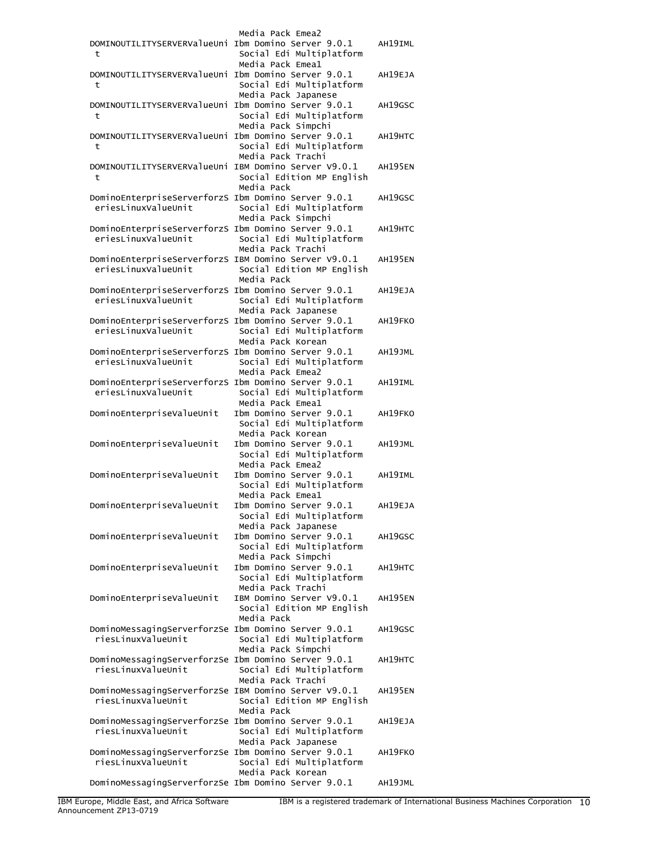|                                                                           | Media Pack Emea2                                    |                |
|---------------------------------------------------------------------------|-----------------------------------------------------|----------------|
| DOMINOUTILITYSERVERValueUni Ibm Domino Server 9.0.1<br>t                  | Social Edi Multiplatform                            | AH19IML        |
|                                                                           | Media Pack Emea1                                    |                |
| DOMINOUTILITYSERVERValueUni Ibm Domino Server 9.0.1                       |                                                     | AH19EJA        |
| t                                                                         | Social Edi Multiplatform                            |                |
|                                                                           | Media Pack Japanese                                 |                |
| DOMINOUTILITYSERVERValueUni                                               | Ibm Domino Server 9.0.1                             | AH19GSC        |
| t                                                                         | Social Edi Multiplatform                            |                |
|                                                                           | Media Pack Simpchi                                  |                |
| DOMINOUTILITYSERVERValueUni Ibm Domino Server 9.0.1                       |                                                     | АН19НТС        |
| t                                                                         | Social Edi Multiplatform                            |                |
|                                                                           | Media Pack Trachi                                   |                |
| DOMINOUTILITYSERVERValueUni                                               | IBM Domino Server V9.0.1                            | <b>AH195EN</b> |
| t                                                                         | Social Edition MP English                           |                |
| DominoEnterpriseServerforzS Ibm Domino Server 9.0.1                       | Media Pack                                          | AH19GSC        |
| eriesLinuxValueUnit                                                       | Social Edi Multiplatform                            |                |
|                                                                           | Media Pack Simpchi                                  |                |
| DominoEnterpriseServerforzS Ibm Domino Server 9.0.1                       |                                                     | AH19HTC        |
| eriesLinuxValueUnit                                                       | Social Edi Multiplatform                            |                |
|                                                                           | Media Pack Trachi                                   |                |
| DominoEnterpriseServerforzS IBM Domino Server V9.0.1                      |                                                     | <b>AH195EN</b> |
| eriesLinuxValueUnit                                                       | Social Edition MP English                           |                |
|                                                                           | Media Pack                                          |                |
| DominoEnterpriseServerforzS Ibm Domino Server 9.0.1                       |                                                     | AH19EJA        |
| eriesLinuxValueUnit                                                       | Social Edi Multiplatform                            |                |
|                                                                           | Media Pack Japanese                                 |                |
| DominoEnterpriseServerforzS Ibm Domino Server 9.0.1                       |                                                     | AH19FKO        |
| eriesLinuxValueUnit                                                       | Social Edi Multiplatform                            |                |
|                                                                           | Media Pack Korean                                   |                |
| DominoEnterpriseServerforzS Ibm Domino Server 9.0.1                       |                                                     | AH19JML        |
| eriesLinuxValueUnit                                                       | Social Edi Multiplatform                            |                |
|                                                                           | Media Pack Emea2                                    |                |
| DominoEnterpriseServerforzS Ibm Domino Server 9.0.1                       |                                                     | AH19IML        |
| eriesLinuxValueUnit                                                       | Social Edi Multiplatform                            |                |
|                                                                           |                                                     |                |
|                                                                           | Media Pack Emea1                                    |                |
| DominoEnterpriseValueUnit                                                 | Ibm Domino Server 9.0.1                             | AH19FKO        |
|                                                                           | Social Edi Multiplatform                            |                |
|                                                                           | Media Pack Korean                                   |                |
| DominoEnterpriseValueUnit                                                 | Ibm Domino Server 9.0.1                             | AH19JML        |
|                                                                           | Social Edi Multiplatform                            |                |
|                                                                           | Media Pack Emea2                                    |                |
| DominoEnterpriseValueUnit                                                 | Ibm Domino Server 9.0.1                             | AH19IML        |
|                                                                           | Social Edi Multiplatform                            |                |
|                                                                           | Media Pack Emea1                                    |                |
| DominoEnterpriseValueUnit                                                 | Ibm Domino Server 9.0.1                             | AH19EJA        |
|                                                                           | Social Edi Multiplatform                            |                |
|                                                                           | Media Pack Japanese                                 | AH19GSC        |
| DominoEnterpriseValueUnit                                                 | Ibm Domino Server 9.0.1<br>Social Edi Multiplatform |                |
|                                                                           |                                                     |                |
| DominoEnterpriseValueUnit                                                 | Media Pack Simpchi<br>Ibm Domino Server 9.0.1       | AH19HTC        |
|                                                                           | Social Edi Multiplatform                            |                |
|                                                                           | Media Pack Trachi                                   |                |
| DominoEnterpriseValueUnit                                                 | IBM Domino Server V9.0.1                            | <b>AH195EN</b> |
|                                                                           | Social Edition MP English                           |                |
|                                                                           | Media Pack                                          |                |
| DominoMessagingServerforzSe Ibm Domino Server 9.0.1                       |                                                     | AH19GSC        |
| riesLinuxValue∪nit                                                        | Social Edi Multiplatform                            |                |
|                                                                           | Media Pack Simpchi                                  |                |
| DominoMessagingServerforzSe Ibm Domino Server 9.0.1                       |                                                     | AH19HTC        |
| riesLinuxValue∪nit                                                        | Social Edi Multiplatform                            |                |
|                                                                           | Media Pack Trachi                                   |                |
| DominoMessagingServerforzSe IBM Domino Server V9.0.1                      |                                                     | AH195EN        |
| riesLinuxValueUnit                                                        | Social Edition MP English                           |                |
|                                                                           | Media Pack                                          |                |
| DominoMessagingServerforzSe Ibm Domino Server 9.0.1                       |                                                     | AH19EJA        |
| riesLinuxValueUnit                                                        | Social Edi Multiplatform                            |                |
|                                                                           | Media Pack Japanese                                 | AH19FKO        |
| DominoMessagingServerforzSe Ibm Domino Server 9.0.1<br>riesLinuxValue∪nit |                                                     |                |
|                                                                           | Social Edi Multiplatform<br>Media Pack Korean       |                |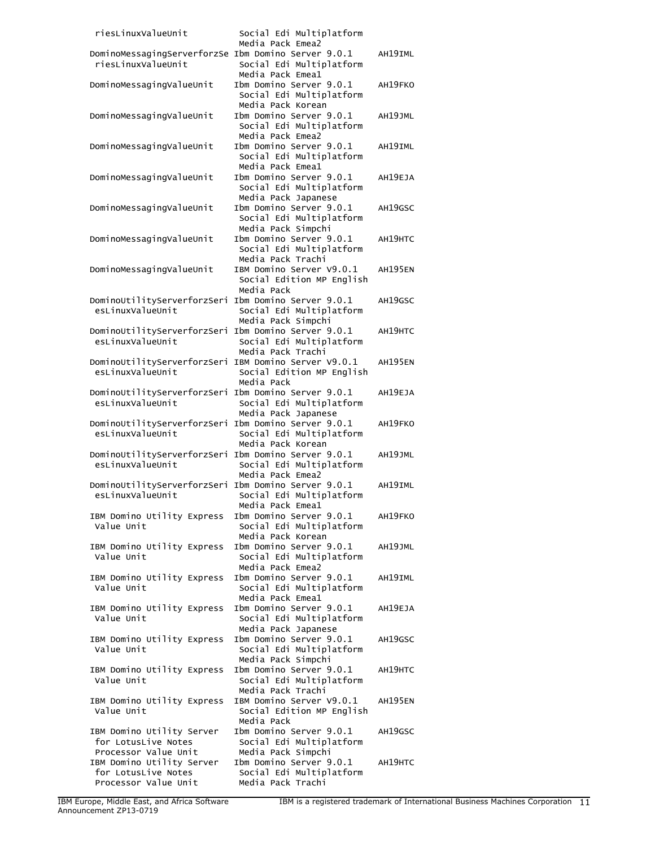| riesLinuxValueUnit                                                       | Social Edi Multiplatform                            |                |
|--------------------------------------------------------------------------|-----------------------------------------------------|----------------|
|                                                                          | Media Pack Emea2                                    |                |
| DominoMessagingServerforzSe Ibm Domino Server 9.0.1                      |                                                     | AH19IML        |
| riesLinuxValue∪nit                                                       | Social Edi Multiplatform<br>Media Pack Emea1        |                |
| DominoMessagingValueUnit                                                 | Ibm Domino Server 9.0.1                             | AH19FKO        |
|                                                                          | Social Edi Multiplatform                            |                |
|                                                                          | Media Pack Korean                                   |                |
| DominoMessagingValueUnit                                                 | Ibm Domino Server 9.0.1                             | AH19JML        |
|                                                                          | Social Edi Multiplatform                            |                |
|                                                                          | Media Pack Emea2                                    |                |
| DominoMessagingValueUnit                                                 | Ibm Domino Server 9.0.1                             | AH19IML        |
|                                                                          | Social Edi Multiplatform                            |                |
|                                                                          | Media Pack Emea1                                    |                |
| DominoMessagingValueUnit                                                 | Ibm Domino Server 9.0.1<br>Social Edi Multiplatform | AH19EJA        |
|                                                                          | Media Pack Japanese                                 |                |
| DominoMessagingValueUnit                                                 | Ibm Domino Server 9.0.1                             | AH19GSC        |
|                                                                          | Social Edi Multiplatform                            |                |
|                                                                          | Media Pack Simpchi                                  |                |
| DominoMessagingValueUnit                                                 | Ibm Domino Server 9.0.1                             | AH19HTC        |
|                                                                          | Social Edi Multiplatform                            |                |
|                                                                          | Media Pack Trachi                                   |                |
| DominoMessagingValueUnit                                                 | IBM Domino Server V9.0.1                            | <b>AH195EN</b> |
|                                                                          | Social Edition MP English<br>Media Pack             |                |
| DominoUtilityServerforzSeri                                              | Ibm Domino Server 9.0.1                             | AH19GSC        |
| esLinuxValueUnit                                                         | Social Edi Multiplatform                            |                |
|                                                                          | Media Pack Simpchi                                  |                |
| DominoUtilityServerforzSeri                                              | Ibm Domino Server 9.0.1                             | AH19HTC        |
| esLinuxValueUnit                                                         | Social Edi Multiplatform                            |                |
|                                                                          | Media Pack Trachi                                   |                |
| DominoUtilityServerforzSeri IBM Domino Server V9.0.1                     |                                                     | <b>AH195EN</b> |
| esLinuxValueUnit                                                         | Social Edition MP English                           |                |
|                                                                          | Media Pack                                          |                |
| DominoUtilityServerforzSeri<br>esLinuxValueUnit                          | Ibm Domino Server 9.0.1                             | AH19EJA        |
|                                                                          | Social Edi Multiplatform<br>Media Pack Japanese     |                |
| DominoUtilityServerforzSeri Ibm Domino Server 9.0.1                      |                                                     | AH19FKO        |
| esLinuxValueUnit                                                         | Social Edi Multiplatform                            |                |
|                                                                          | Media Pack Korean                                   |                |
| DominoUtilityServerforzSeri                                              | Ibm Domino Server 9.0.1                             | AH19JML        |
| esLinuxValueUnit                                                         | Social Edi Multiplatform                            |                |
|                                                                          | Media Pack Emea2                                    |                |
| DominoUtilityServerforzSeri                                              | Ibm Domino Server 9.0.1                             | AH19IML        |
| esLinuxValueUnit                                                         | Social Edi Multiplatform                            |                |
|                                                                          | Media Pack Emea1                                    | AH19FKO        |
| IBM Domino Utility Express<br>Value Unit                                 | Ibm Domino Server 9.0.1<br>Social Edi Multiplatform |                |
|                                                                          | Media Pack Korean                                   |                |
| IBM Domino Utility Express                                               | Ibm Domino Server 9.0.1                             | AH19JML        |
| Value Unit                                                               | Social Edi Multiplatform                            |                |
|                                                                          | Media Pack Emea2                                    |                |
| IBM Domino Utility Express                                               | Ibm Domino Server 9.0.1                             | AH19IML        |
| Value Unit                                                               | Social Edi Multiplatform                            |                |
|                                                                          | Media Pack Emea1                                    |                |
| IBM Domino Utility Express<br>Value Unit                                 | Ibm Domino Server 9.0.1                             | AH19EJA        |
|                                                                          | Social Edi Multiplatform<br>Media Pack Japanese     |                |
| IBM Domino Utility Express                                               | Ibm Domino Server 9.0.1                             | AH19GSC        |
| Value Unit                                                               | Social Edi Multiplatform                            |                |
|                                                                          | Media Pack Simpchi                                  |                |
| IBM Domino Utility Express                                               | Ibm Domino Server 9.0.1                             | АН19НТС        |
| Value Unit                                                               | Social Edi Multiplatform                            |                |
|                                                                          | Media Pack Trachi                                   |                |
| IBM Domino Utility Express                                               | IBM Domino Server V9.0.1                            | AH195EN        |
| Value Unit                                                               | Social Edition MP English                           |                |
| IBM Domino Utility Server                                                | Media Pack<br>Ibm Domino Server 9.0.1               | AH19GSC        |
|                                                                          |                                                     |                |
|                                                                          |                                                     |                |
| for LotusLive Notes                                                      | Social Edi Multiplatform                            |                |
| Processor Value Unit                                                     | Media Pack Simpchi<br>Ibm Domino Server 9.0.1       | AH19HTC        |
| IBM Domino Utility Server<br>for LotusLive Notes<br>Processor Value Unit | Social Edi Multiplatform                            |                |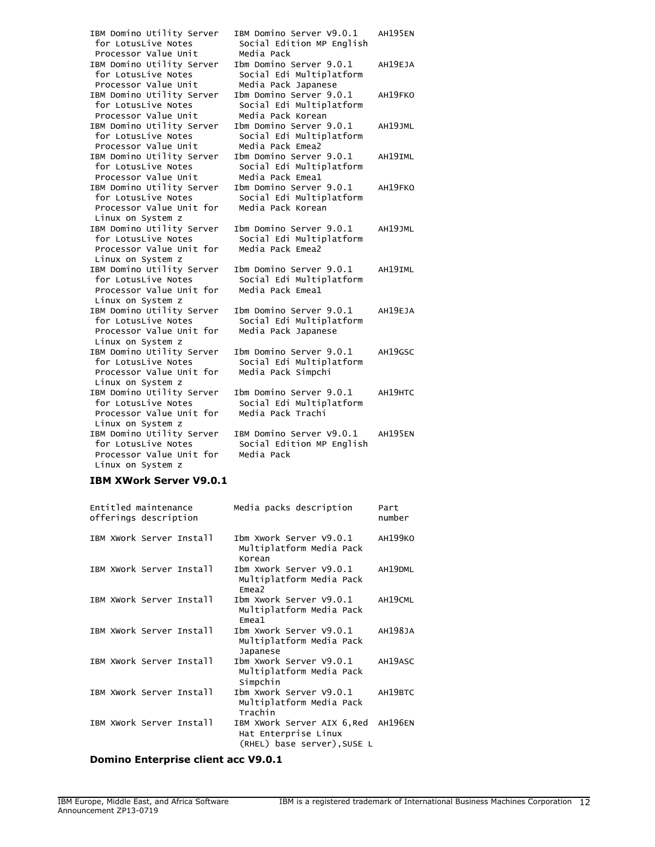| IBM Domino Utility Server<br>for LotusLive Notes<br>Processor Value Unit                          | IBM Domino Server V9.0.1<br>Social Edition MP English<br>Media Pack        | <b>AH195EN</b>      |
|---------------------------------------------------------------------------------------------------|----------------------------------------------------------------------------|---------------------|
| IBM Domino Utility Server<br>for LotusLive Notes<br>Processor Value Unit                          | Ibm Domino Server 9.0.1<br>Social Edi Multiplatform<br>Media Pack Japanese | AH19EJA             |
| IBM Domino Utility Server<br>for LotusLive Notes<br>Processor Value Unit                          | Ibm Domino Server 9.0.1<br>Social Edi Multiplatform<br>Media Pack Korean   | AH19FKO             |
| IBM Domino Utility Server<br>for LotusLive Notes<br>Processor Value Unit                          | Ibm Domino Server 9.0.1<br>Social Edi Multiplatform<br>Media Pack Emea2    | AH19JML             |
| IBM Domino Utility Server<br>for LotusLive Notes<br>Processor Value Unit                          | Ibm Domino Server 9.0.1<br>Social Edi Multiplatform<br>Media Pack Emea1    | AH19IML             |
| IBM Domino Utility Server<br>for LotusLive Notes<br>Processor Value Unit for<br>Linux on System z | Ibm Domino Server 9.0.1<br>Social Edi Multiplatform<br>Media Pack Korean   | AH19FKO             |
| IBM Domino Utility Server<br>for LotusLive Notes<br>Processor Value Unit for<br>Linux on System z | Ibm Domino Server 9.0.1<br>Social Edi Multiplatform<br>Media Pack Emea2    | AH19JML             |
| IBM Domino Utility Server<br>for LotusLive Notes<br>Processor Value Unit for<br>Linux on System z | Ibm Domino Server 9.0.1<br>Social Edi Multiplatform<br>Media Pack Emea1    | AH19IML             |
| IBM Domino Utility Server<br>for LotusLive Notes<br>Processor Value Unit for<br>Linux on System z | Ibm Domino Server 9.0.1<br>Social Edi Multiplatform<br>Media Pack Japanese | AH19EJA             |
| IBM Domino Utility Server<br>for LotusLive Notes<br>Processor Value Unit for<br>Linux on System z | Ibm Domino Server 9.0.1<br>Social Edi Multiplatform<br>Media Pack Simpchi  | AH19GSC             |
| IBM Domino Utility Server<br>for LotusLive Notes<br>Processor Value Unit for<br>Linux on System z | Ibm Domino Server 9.0.1<br>Social Edi Multiplatform<br>Media Pack Trachi   | AH <sub>19HTC</sub> |
| IBM Domino Utility Server<br>for LotusLive Notes<br>Processor Value Unit for<br>Linux on System z | IBM Domino Server V9.0.1<br>Social Edition MP English<br>Media Pack        | <b>AH195EN</b>      |

## **IBM XWork Server V9.0.1**

| Entitled maintenance<br>offerings description | Media packs description                                                          | Part<br>number |
|-----------------------------------------------|----------------------------------------------------------------------------------|----------------|
| IBM XWork Server Install                      | Ibm Xwork Server V9.0.1<br>Multiplatform Media Pack<br>Korean                    | <b>AH199KO</b> |
| IBM XWork Server Install                      | Thm Xwork Server V9.0.1<br>Multiplatform Media Pack<br>Fmea2                     | AH19DML        |
| IBM XWork Server Install                      | Ibm Xwork Server V9.0.1<br>Multiplatform Media Pack<br>Emea1                     | AH19CML        |
| IBM XWork Server Install                      | Ibm Xwork Server V9.0.1<br>Multiplatform Media Pack<br>Japanese                  | AH198JA        |
| IBM XWork Server Install                      | Ibm Xwork Server V9.0.1<br>Multiplatform Media Pack<br>Simpchin                  | AH19ASC        |
| IBM XWork Server Install                      | Ibm Xwork Server V9.0.1<br>Multiplatform Media Pack<br>Trachin                   | AH19BTC        |
| IBM XWork Server Install                      | IBM XWork Server AIX 6,Red<br>Hat Enterprise Linux<br>(RHEL) base server),SUSE L | <b>AH196EN</b> |

# **Domino Enterprise client acc V9.0.1**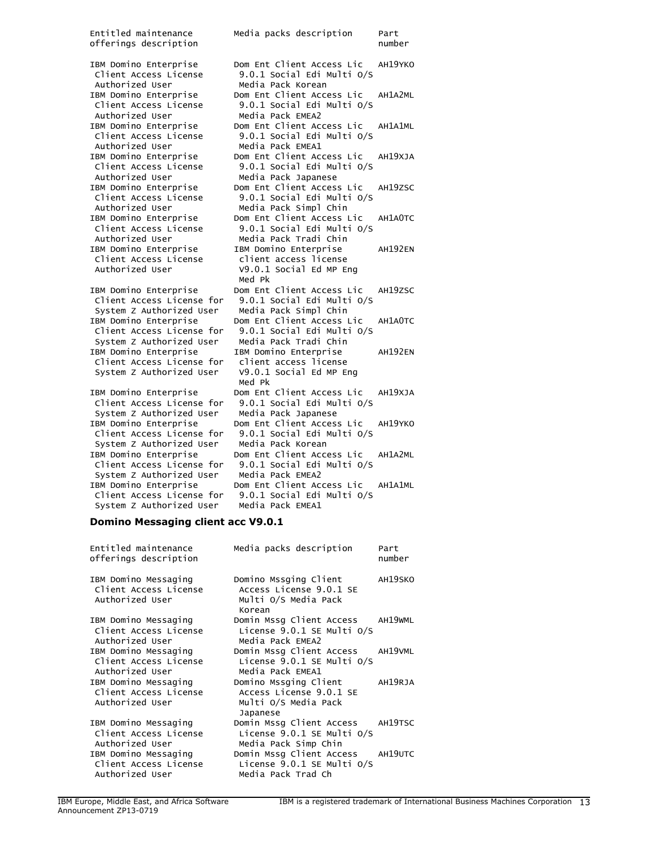Entitled maintenance Media packs description Part offerings description number

IBM Domino Enterprise Dom Ent Client Access Lic AH19YKO Client Access License 9.0.1 Social Edi Multi O/S Authorized User **Media Pack Korean** IBM Domino Enterprise Dom Ent Client Access Lic AH1A2ML Authorized User Media Pack EMEA2 IBM Domino Enterprise Dom Ent Client Access Lic AH1A1ML Client Access License 9.0.1 Social Edi Multi O/S Authorized User Media Pack EMEA1 IBM Domino Enterprise Dom Ent Client Access Lic AH19XJA Client Access License 9.0.1 Social Edi Multi O/S Authorized User **Media Pack Japanese** IBM Domino Enterprise Dom Ent Client Access Lic AH19ZSC Client Access License 9.0.1 Social Edi Multi O/S Authorized User **Media Pack Simpl Chin** IBM Domino Enterprise Dom Ent Client Access Lic AH1A0TC Client Access License 9.0.1 Social Edi Multi O/S Authorized User **Media Pack Tradi Chin** IBM Domino Enterprise IBM Domino Enterprise AH192EN Client Access License client access license Authorized User **V9.0.1** Social Ed MP Eng

IBM Domino Enterprise Dom Ent Client Access Lic AH19ZSC Client Access License for 9.0.1 Social Edi Multi O/S<br>System Z Authorized User Media Pack Simpl Chin System Z Authorized User IBM Domino Enterprise Dom Ent Client Access Lic AH1A0TC Client Access License for 9.0.1 Social Edi Multi O/S System Z Authorized User Media Pack Tradi Chin IBM Domino Enterprise IBM Domino Enterprise AH192EN Client Access License for client access license System Z Authorized User V9.0.1 Social Ed MP Eng Med Pk

 Client Access License for 9.0.1 Social Edi Multi O/S System Z Authorized User IBM Domino Enterprise Dom Ent Client Access Lic AH19YKO Client Access License for 9.0.1 Social Edi Multi O/S System Z Authorized User Media Pack Korean IBM Domino Enterprise Dom Ent Client Access Lic AH1A2ML Client Access License for 9.0.1 Social Edi Multi O/S System Z Authorized User IBM Domino Enterprise Dom Ent Client Access Lic AH1A1ML<br>Client Access License for 9.0.1 Social Edi Multi 0/S Client Access License for System Z Authorized User Media Pack EMEA1

#### **Domino Messaging client acc V9.0.1**

| Entitled maintenance<br>offerings description                    | Media packs description                                                              | Part<br>number |
|------------------------------------------------------------------|--------------------------------------------------------------------------------------|----------------|
| IBM Domino Messaging<br>Client Access License<br>Authorized User | Domino Mssging Client<br>Access License 9.0.1 SE<br>Multi O/S Media Pack<br>Korean   | AH19SKO        |
| IBM Domino Messaging<br>Client Access License<br>Authorized User | Domin Mssg Client Access<br>License 9.0.1 SE Multi O/S<br>Media Pack EMEA2           | AH19WML        |
| IBM Domino Messaging<br>Client Access License<br>Authorized User | Domin Mssg Client Access<br>License 9.0.1 SE Multi O/S<br>Media Pack EMEA1           | AH19VML        |
| IBM Domino Messaging<br>Client Access License<br>Authorized User | Domino Mssging Client<br>Access License 9.0.1 SE<br>Multi O/S Media Pack<br>Japanese | AH19RJA        |
| IBM Domino Messaging<br>Client Access License<br>Authorized User | Domin Mssg Client Access<br>License 9.0.1 SE Multi O/S<br>Media Pack Simp Chin       | AH19TSC        |
| IBM Domino Messaging<br>Client Access License<br>Authorized User | Domin Mssg Client Access<br>License 9.0.1 SE Multi O/S<br>Media Pack Trad Ch         | AH19UTC        |

Med Pk

9.0.1 Social Edi Multi O/S

Dom Ent Client Access Lic AH19XJA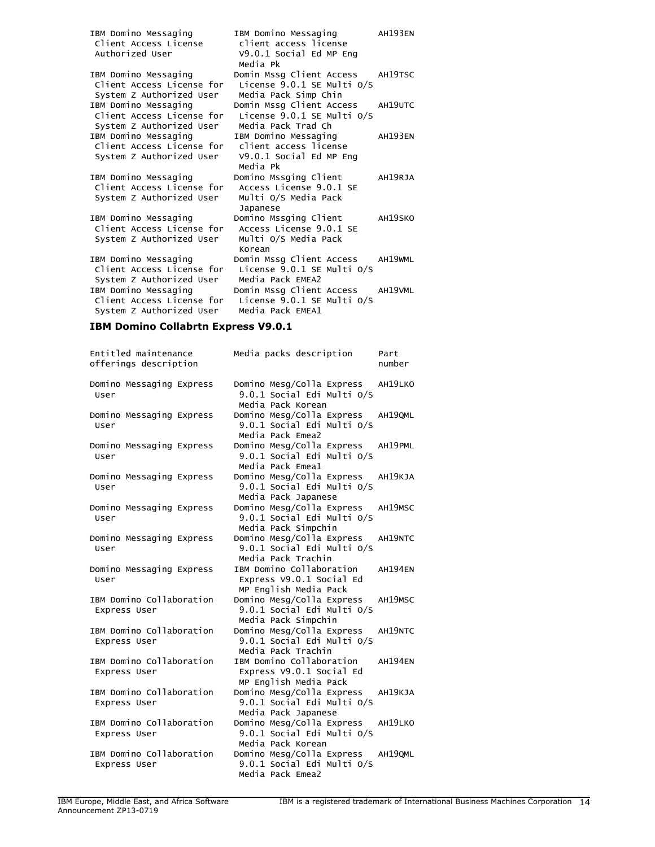| IBM Domino Messaging<br>Client Access License<br>Authorized User              | IBM Domino Messaging<br>client access license<br>V9.0.1 Social Ed MP Eng<br>Media Pk | AH193EN        |
|-------------------------------------------------------------------------------|--------------------------------------------------------------------------------------|----------------|
| IBM Domino Messaging<br>Client Access License for<br>System Z Authorized User | Domin Mssg Client Access<br>License 9.0.1 SE Multi O/S<br>Media Pack Simp Chin       | AH19TSC        |
| IBM Domino Messaging<br>Client Access License for<br>System Z Authorized User | Domin Mssg Client Access<br>License 9.0.1 SE Multi O/S<br>Media Pack Trad Ch         | AH19UTC        |
| IBM Domino Messaging<br>Client Access License for<br>System Z Authorized User | IBM Domino Messaging<br>client access license<br>V9.0.1 Social Ed MP Eng<br>Media Pk | <b>AH193EN</b> |
| IBM Domino Messaging<br>Client Access License for<br>System Z Authorized User | Domino Mssging Client<br>Access License 9.0.1 SE<br>Multi O/S Media Pack<br>Japanese | AH19RJA        |
| IBM Domino Messaging<br>Client Access License for<br>System Z Authorized User | Domino Mssging Client<br>Access License 9.0.1 SE<br>Multi O/S Media Pack<br>Korean   | AH19SKO        |
| IBM Domino Messaging<br>Client Access License for<br>System Z Authorized User | Domin Mssg Client Access<br>License 9.0.1 SE Multi O/S<br>Media Pack EMEA2           | AH19WML        |
| IBM Domino Messaging<br>Client Access License for<br>System Z Authorized User | Domin Mssg Client Access<br>License 9.0.1 SE Multi 0/S<br>Media Pack EMEA1           | AH19VML        |

#### **IBM Domino Collabrtn Express V9.0.1**

Entitled maintenance Media packs description Part Media Pack Emea2<br>Domino Messaging Express Domino Mesg/Colla MP English Media Pack<br>IBM Domino Collaboration Domino Mesg/Colla Expre Media Pack Simpchin<br>IBM Domino Collaboration Domino Mesg/Colla Ex Media Pack Japanese<br>IBM Domino Collaboration Domino Mesg/Colla Exp

offerings description and the control of the number of the number Domino Messaging Express Domino Mesg/Colla Express AH19LKO User 9.0.1 Social Edi Multi O/S Media Pack Korean Domino Messaging Express Domino Mesg/Colla Express AH19QML User 9.0.1 Social Edi Multi O/S Domino Mesg/Colla Express AH19PML User 9.0.1 Social Edi Multi O/S Media Pack Emea1 Domino Messaging Express Domino Mesg/Colla Express AH19KJA User 9.0.1 Social Edi Multi O/S Media Pack Japanese Domino Messaging Express Domino Mesg/Colla Express AH19MSC User 9.0.1 Social Edi Multi O/S Media Pack Simpchin Domino Messaging Express Domino Mesg/Colla Express AH19NTC User 9.0.1 Social Edi Multi O/S Media Pack Trachin Domino Messaging Express IBM Domino Collaboration AH194EN User Express V9.0.1 Social Ed Domino Mesg/Colla Express AH19MSC Express User 9.0.1 Social Edi Multi O/S Domino Mesg/Colla Express AH19NTC Express User 9.0.1 Social Edi Multi O/S Media Pack Trachin IBM Domino Collaboration IBM Domino Collaboration AH194EN Express User Express V9.0.1 Social Ed MP English Media Pack IBM Domino Collaboration Domino Mesg/Colla Express AH19KJA Express User 9.0.1 Social Edi Multi O/S Domino Mesg/Colla Express AH19LKO Express User 9.0.1 Social Edi Multi O/S Media Pack Korean IBM Domino Collaboration Domino Mesg/Colla Express AH19QML Express User 9.0.1 Social Edi Multi O/S Media Pack Emea2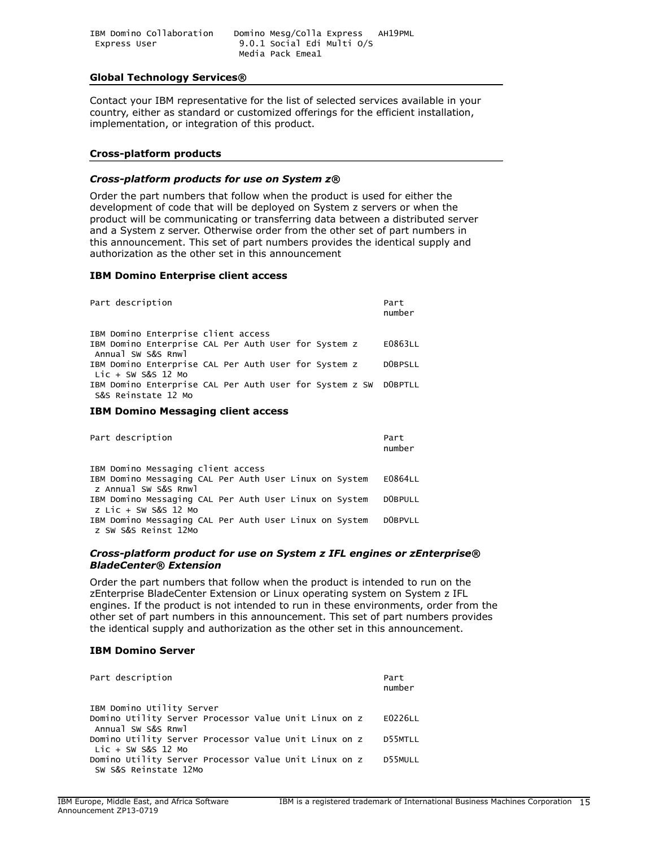| IBM Domino Collaboration | Domino Mesg/Colla Express<br>AH19PML |
|--------------------------|--------------------------------------|
| Express User             | 9.0.1 Social Edi Multi O/S           |
|                          | Media Pack Emea1                     |

#### **Global Technology Services®**

Contact your IBM representative for the list of selected services available in your country, either as standard or customized offerings for the efficient installation, implementation, or integration of this product.

## **Cross-platform products**

## *Cross-platform products for use on System z®*

Order the part numbers that follow when the product is used for either the development of code that will be deployed on System z servers or when the product will be communicating or transferring data between a distributed server and a System z server. Otherwise order from the other set of part numbers in this announcement. This set of part numbers provides the identical supply and authorization as the other set in this announcement

#### **IBM Domino Enterprise client access**

| Part description                                                | Part<br>number |
|-----------------------------------------------------------------|----------------|
| IBM Domino Enterprise client access                             |                |
| IBM Domino Enterprise CAL Per Auth User for System z            | E0863LL        |
| Annual SW S&S Rnwl                                              |                |
| IBM Domino Enterprise CAL Per Auth User for System z            | DOBPSLL        |
| Lic + SW S&S 12 Mo                                              |                |
| IBM Domino Enterprise CAL Per Auth User for System z SW DOBPTLL |                |
| S&S Reinstate 12 Mo                                             |                |

## **IBM Domino Messaging client access**

| Part description                                                               | Part<br>number |
|--------------------------------------------------------------------------------|----------------|
| IBM Domino Messaging client access                                             |                |
| IBM Domino Messaging CAL Per Auth User Linux on System<br>z Annual SW S&S Rnwl | E0864LL        |
| IBM Domino Messaging CAL Per Auth User Linux on System                         | DOBPULL        |
| z Lic + SW S&S 12 Mo                                                           |                |
| IBM Domino Messaging CAL Per Auth User Linux on System                         | DOBPVLL        |
| z SW S&S Reinst 12Mo                                                           |                |

#### *Cross-platform product for use on System z IFL engines or zEnterprise® BladeCenter® Extension*

Order the part numbers that follow when the product is intended to run on the zEnterprise BladeCenter Extension or Linux operating system on System z IFL engines. If the product is not intended to run in these environments, order from the other set of part numbers in this announcement. This set of part numbers provides the identical supply and authorization as the other set in this announcement.

#### **IBM Domino Server**

| Part description                                      | Part<br>number |
|-------------------------------------------------------|----------------|
| IBM Domino Utility Server                             |                |
| Domino Utility Server Processor Value Unit Linux on z | E0226LL        |
| Annual SW S&S Rnwl                                    |                |
| Domino Utility Server Processor Value Unit Linux on z | D55MTLL        |
| $Lie + SW S&S 12 MO$                                  |                |
| Domino Utility Server Processor Value Unit Linux on z | D55MULL        |
| SW S&S Reinstate 12Mo                                 |                |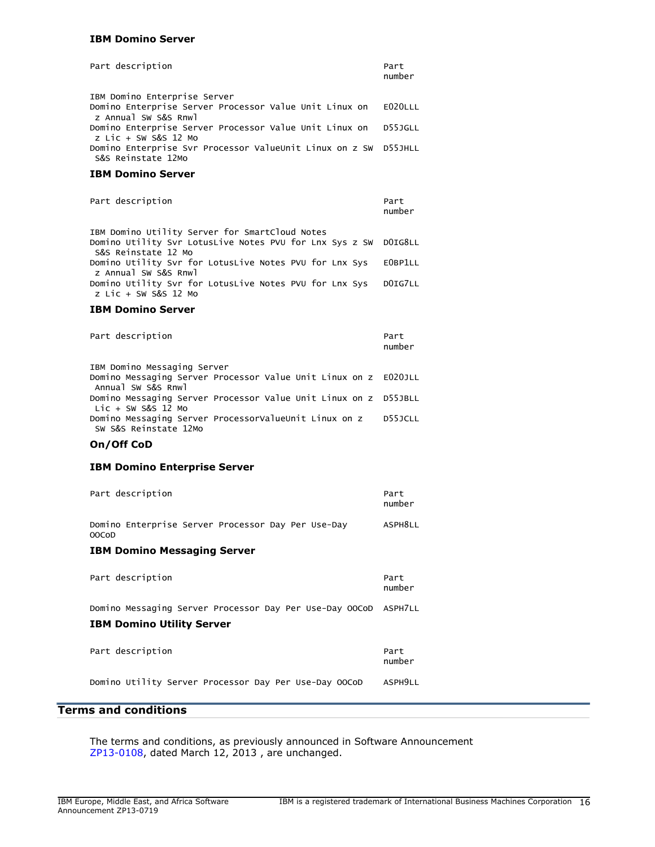## **IBM Domino Server**

| Part description                                                                                                                         | Part<br>number     |
|------------------------------------------------------------------------------------------------------------------------------------------|--------------------|
| IBM Domino Enterprise Server<br>Domino Enterprise Server Processor Value Unit Linux on<br>z Annual SW S&S Rnwl                           | E020LLL            |
| Domino Enterprise Server Processor Value Unit Linux on<br>z Lic + SW S&S 12 Mo                                                           | D55JGLL            |
| Domino Enterprise Svr Processor ValueUnit Linux on z SW<br>S&S Reinstate 12Mo                                                            | D55JHLL            |
| <b>IBM Domino Server</b>                                                                                                                 |                    |
| Part description                                                                                                                         | Part<br>number     |
| IBM Domino Utility Server for SmartCloud Notes<br>Domino Utility Svr LotusLive Notes PVU for Lnx Sys z SW<br>S&S Reinstate 12 Mo         | DOIG8LL            |
| Domino Utility Svr for LotusLive Notes PVU for Lnx Sys<br>z Annual SW S&S Rnwl                                                           | E0BP1LL            |
| Domino Utility Svr for LotusLive Notes PVU for Lnx Sys<br>z Lic + SW S&S 12 Mo                                                           | DOIG7LL            |
| <b>IBM Domino Server</b>                                                                                                                 |                    |
| Part description                                                                                                                         | Part<br>number     |
| IBM Domino Messaging Server<br>Domino Messaging Server Processor Value Unit Linux on z E020JLL<br>Annual SW S&S Rnwl                     |                    |
| Domino Messaging Server Processor Value Unit Linux on z<br>$Lie + SW S&S 12 Mo$<br>Domino Messaging Server ProcessorValueUnit Linux on z | D55JBLL<br>D55JCLL |
| SW S&S Reinstate 12Mo                                                                                                                    |                    |
| On/Off CoD                                                                                                                               |                    |
| <b>IBM Domino Enterprise Server</b>                                                                                                      |                    |
| Part description                                                                                                                         | Part<br>number     |
| Domino Enterprise Server Processor Day Per Use-Day<br>00CoD                                                                              | ASPH8LL            |
| <b>IBM Domino Messaging Server</b>                                                                                                       |                    |
| Part description                                                                                                                         | Part<br>number     |
| Domino Messaging Server Processor Day Per Use-Day OOCoD ASPH7LL                                                                          |                    |
| <b>IBM Domino Utility Server</b>                                                                                                         |                    |
| Part description                                                                                                                         | Part<br>number     |
| Domino Utility Server Processor Day Per Use-Day OOCoD                                                                                    | ASPH9LL            |

# <span id="page-15-0"></span>**Terms and conditions**

The terms and conditions, as previously announced in Software Announcement [ZP13-0108,](http://www.ibm.com/common/ssi/cgi-bin/ssialias?infotype=an&subtype=ca&appname=gpateam&supplier=877&letternum=ENUSZP13-0108) dated March 12, 2013 , are unchanged.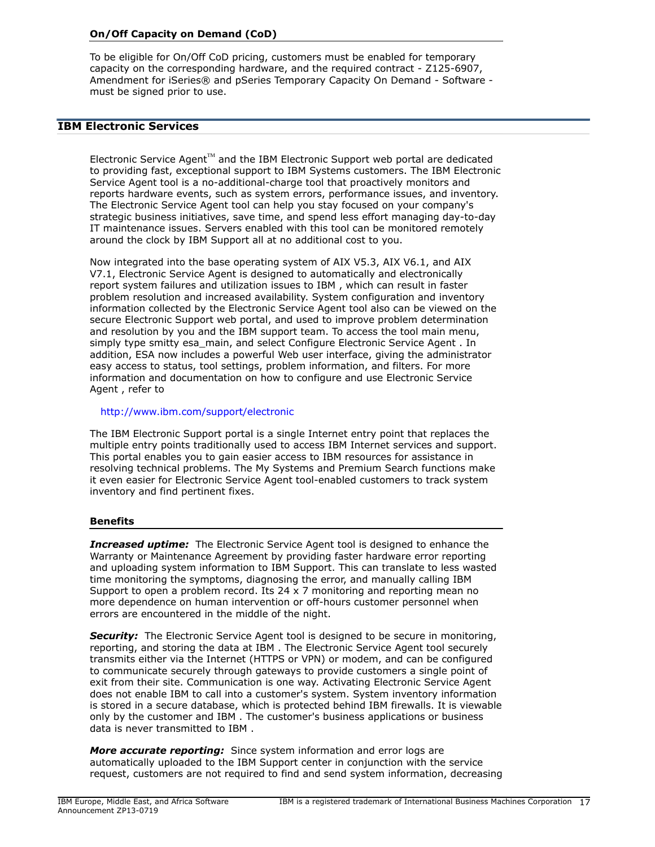## **On/Off Capacity on Demand (CoD)**

To be eligible for On/Off CoD pricing, customers must be enabled for temporary capacity on the corresponding hardware, and the required contract - Z125-6907, Amendment for iSeries® and pSeries Temporary Capacity On Demand - Software must be signed prior to use.

# **IBM Electronic Services**

Electronic Service Agent $T^M$  and the IBM Electronic Support web portal are dedicated to providing fast, exceptional support to IBM Systems customers. The IBM Electronic Service Agent tool is a no-additional-charge tool that proactively monitors and reports hardware events, such as system errors, performance issues, and inventory. The Electronic Service Agent tool can help you stay focused on your company's strategic business initiatives, save time, and spend less effort managing day-to-day IT maintenance issues. Servers enabled with this tool can be monitored remotely around the clock by IBM Support all at no additional cost to you.

Now integrated into the base operating system of AIX V5.3, AIX V6.1, and AIX V7.1, Electronic Service Agent is designed to automatically and electronically report system failures and utilization issues to IBM , which can result in faster problem resolution and increased availability. System configuration and inventory information collected by the Electronic Service Agent tool also can be viewed on the secure Electronic Support web portal, and used to improve problem determination and resolution by you and the IBM support team. To access the tool main menu, simply type smitty esa main, and select Configure Electronic Service Agent . In addition, ESA now includes a powerful Web user interface, giving the administrator easy access to status, tool settings, problem information, and filters. For more information and documentation on how to configure and use Electronic Service Agent , refer to

## <http://www.ibm.com/support/electronic>

The IBM Electronic Support portal is a single Internet entry point that replaces the multiple entry points traditionally used to access IBM Internet services and support. This portal enables you to gain easier access to IBM resources for assistance in resolving technical problems. The My Systems and Premium Search functions make it even easier for Electronic Service Agent tool-enabled customers to track system inventory and find pertinent fixes.

## **Benefits**

*Increased uptime:* The Electronic Service Agent tool is designed to enhance the Warranty or Maintenance Agreement by providing faster hardware error reporting and uploading system information to IBM Support. This can translate to less wasted time monitoring the symptoms, diagnosing the error, and manually calling IBM Support to open a problem record. Its  $24 \times 7$  monitoring and reporting mean no more dependence on human intervention or off-hours customer personnel when errors are encountered in the middle of the night.

**Security:** The Electronic Service Agent tool is designed to be secure in monitoring, reporting, and storing the data at IBM . The Electronic Service Agent tool securely transmits either via the Internet (HTTPS or VPN) or modem, and can be configured to communicate securely through gateways to provide customers a single point of exit from their site. Communication is one way. Activating Electronic Service Agent does not enable IBM to call into a customer's system. System inventory information is stored in a secure database, which is protected behind IBM firewalls. It is viewable only by the customer and IBM . The customer's business applications or business data is never transmitted to IBM .

*More accurate reporting:* Since system information and error logs are automatically uploaded to the IBM Support center in conjunction with the service request, customers are not required to find and send system information, decreasing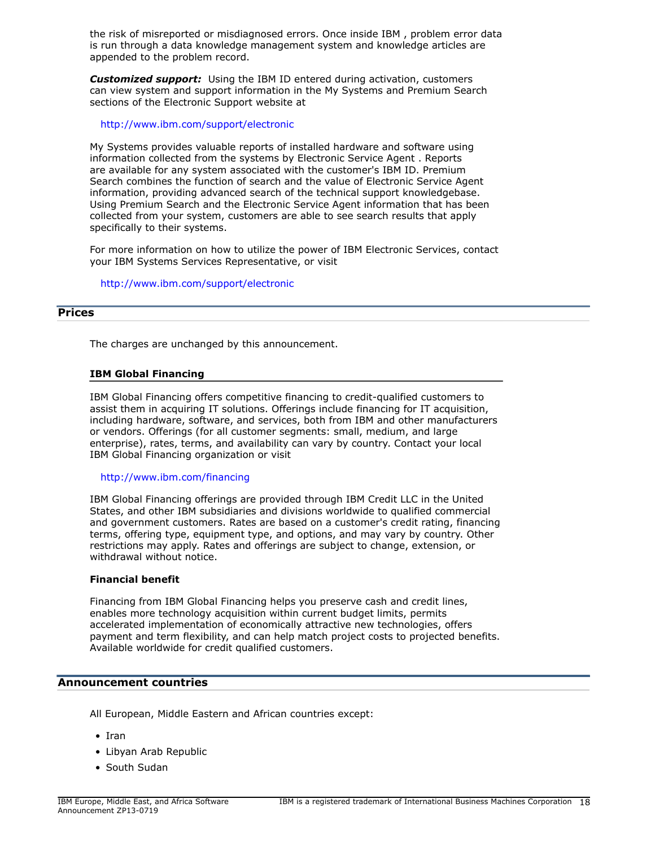the risk of misreported or misdiagnosed errors. Once inside IBM , problem error data is run through a data knowledge management system and knowledge articles are appended to the problem record.

*Customized support:* Using the IBM ID entered during activation, customers can view system and support information in the My Systems and Premium Search sections of the Electronic Support website at

## <http://www.ibm.com/support/electronic>

My Systems provides valuable reports of installed hardware and software using information collected from the systems by Electronic Service Agent . Reports are available for any system associated with the customer's IBM ID. Premium Search combines the function of search and the value of Electronic Service Agent information, providing advanced search of the technical support knowledgebase. Using Premium Search and the Electronic Service Agent information that has been collected from your system, customers are able to see search results that apply specifically to their systems.

For more information on how to utilize the power of IBM Electronic Services, contact your IBM Systems Services Representative, or visit

## <http://www.ibm.com/support/electronic>

## <span id="page-17-0"></span>**Prices**

The charges are unchanged by this announcement.

## **IBM Global Financing**

IBM Global Financing offers competitive financing to credit-qualified customers to assist them in acquiring IT solutions. Offerings include financing for IT acquisition, including hardware, software, and services, both from IBM and other manufacturers or vendors. Offerings (for all customer segments: small, medium, and large enterprise), rates, terms, and availability can vary by country. Contact your local IBM Global Financing organization or visit

#### <http://www.ibm.com/financing>

IBM Global Financing offerings are provided through IBM Credit LLC in the United States, and other IBM subsidiaries and divisions worldwide to qualified commercial and government customers. Rates are based on a customer's credit rating, financing terms, offering type, equipment type, and options, and may vary by country. Other restrictions may apply. Rates and offerings are subject to change, extension, or withdrawal without notice.

## **Financial benefit**

Financing from IBM Global Financing helps you preserve cash and credit lines, enables more technology acquisition within current budget limits, permits accelerated implementation of economically attractive new technologies, offers payment and term flexibility, and can help match project costs to projected benefits. Available worldwide for credit qualified customers.

## <span id="page-17-1"></span>**Announcement countries**

All European, Middle Eastern and African countries except:

- Iran
- Libyan Arab Republic
- South Sudan